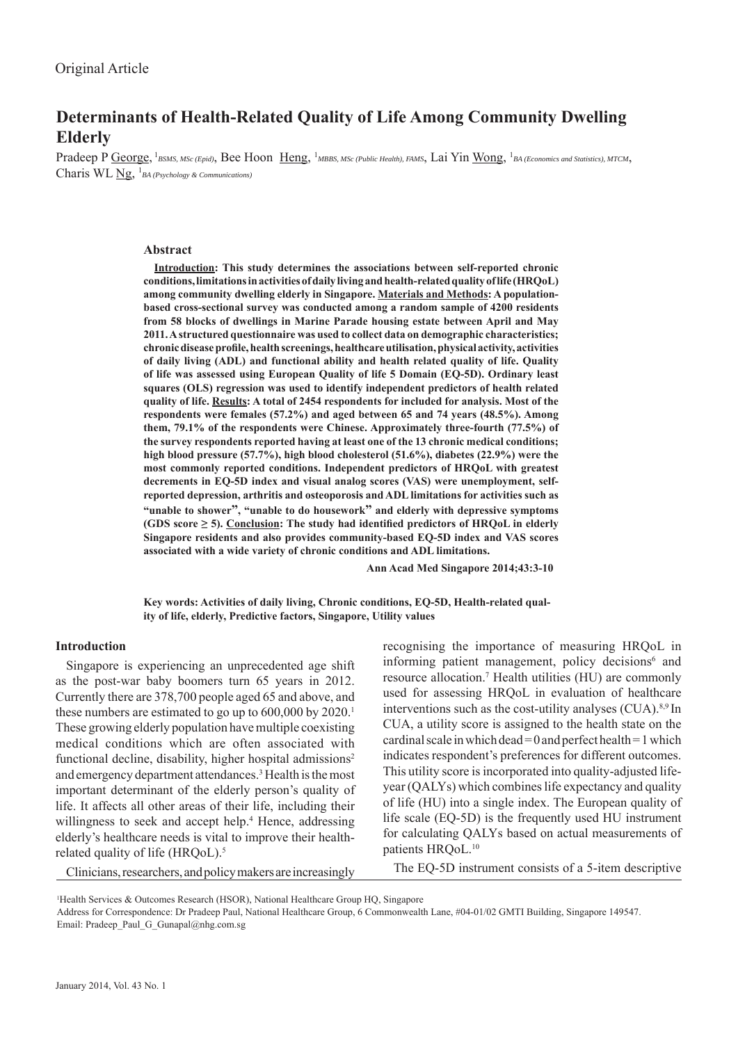# **Determinants of Health-Related Quality of Life Among Community Dwelling Elderly**

Pradeep P George, <sup>1</sup>BSMS, MSc (Epid), Bee Hoon Heng, <sup>1</sup>MBBS, MSc (Public Health), FAMS, Lai Yin Wong, <sup>1</sup>BA (Economics and Statistics), MTCM, Charis WL Ng, <sup>1</sup>BA (Psychology & Communications)

### **Abstract**

**Introduction: This study determines the associations between self-reported chronic conditions, limitations in activities of daily living and health-related quality of life (HRQoL) among community dwelling elderly in Singapore. Materials and Methods: A populationbased cross-sectional survey was conducted among a random sample of 4200 residents from 58 blocks of dwellings in Marine Parade housing estate between April and May 2011. A structured questionnaire was used to collect data on demographic characteristics; chronic disease profi le, health screenings, healthcare utilisation, physical activity, activities of daily living (ADL) and functional ability and health related quality of life. Quality of life was assessed using European Quality of life 5 Domain (EQ-5D). Ordinary least squares (OLS) regression was used to identify independent predictors of health related quality of life. Results: A total of 2454 respondents for included for analysis. Most of the respondents were females (57.2%) and aged between 65 and 74 years (48.5%). Among them, 79.1% of the respondents were Chinese. Approximately three-fourth (77.5%) of the survey respondents reported having at least one of the 13 chronic medical conditions; high blood pressure (57.7%), high blood cholesterol (51.6%), diabetes (22.9%) were the most commonly reported conditions. Independent predictors of HRQoL with greatest decrements in EQ-5D index and visual analog scores (VAS) were unemployment, selfreported depression, arthritis and osteoporosis and ADL limitations for activities such as "unable to shower", "unable to do housework" and elderly with depressive symptoms**  (GDS score  $\geq$  5). Conclusion: The study had identified predictors of HRQoL in elderly **Singapore residents and also provides community-based EQ-5D index and VAS scores associated with a wide variety of chronic conditions and ADL limitations.**

 **Ann Acad Med Singapore 2014;43:3-10**

**Key words: Activities of daily living, Chronic conditions, EQ-5D, Health-related quality of life, elderly, Predictive factors, Singapore, Utility values**

### **Introduction**

Singapore is experiencing an unprecedented age shift as the post-war baby boomers turn 65 years in 2012. Currently there are 378,700 people aged 65 and above, and these numbers are estimated to go up to  $600,000$  by  $2020$ .<sup>1</sup> These growing elderly population have multiple coexisting medical conditions which are often associated with functional decline, disability, higher hospital admissions<sup>2</sup> and emergency department attendances.<sup>3</sup> Health is the most important determinant of the elderly person's quality of life. It affects all other areas of their life, including their willingness to seek and accept help.<sup>4</sup> Hence, addressing elderly's healthcare needs is vital to improve their healthrelated quality of life (HRQoL).<sup>5</sup>

recognising the importance of measuring HRQoL in informing patient management, policy decisions<sup>6</sup> and resource allocation.7 Health utilities (HU) are commonly used for assessing HRQoL in evaluation of healthcare interventions such as the cost-utility analyses (CUA).8,9 In CUA, a utility score is assigned to the health state on the cardinal scale in which dead = 0 and perfect health = 1 which indicates respondent's preferences for different outcomes. This utility score is incorporated into quality-adjusted lifeyear (QALYs) which combines life expectancy and quality of life (HU) into a single index. The European quality of life scale (EQ-5D) is the frequently used HU instrument for calculating QALYs based on actual measurements of patients HROoL.<sup>10</sup>

Clinicians, researchers, and policy makers are increasingly

The EQ-5D instrument consists of a 5-item descriptive

1 Health Services & Outcomes Research (HSOR), National Healthcare Group HQ, Singapore

Address for Correspondence: Dr Pradeep Paul, National Healthcare Group, 6 Commonwealth Lane, #04-01/02 GMTI Building, Singapore 149547. Email: Pradeep\_Paul\_G\_Gunapal@nhg.com.sg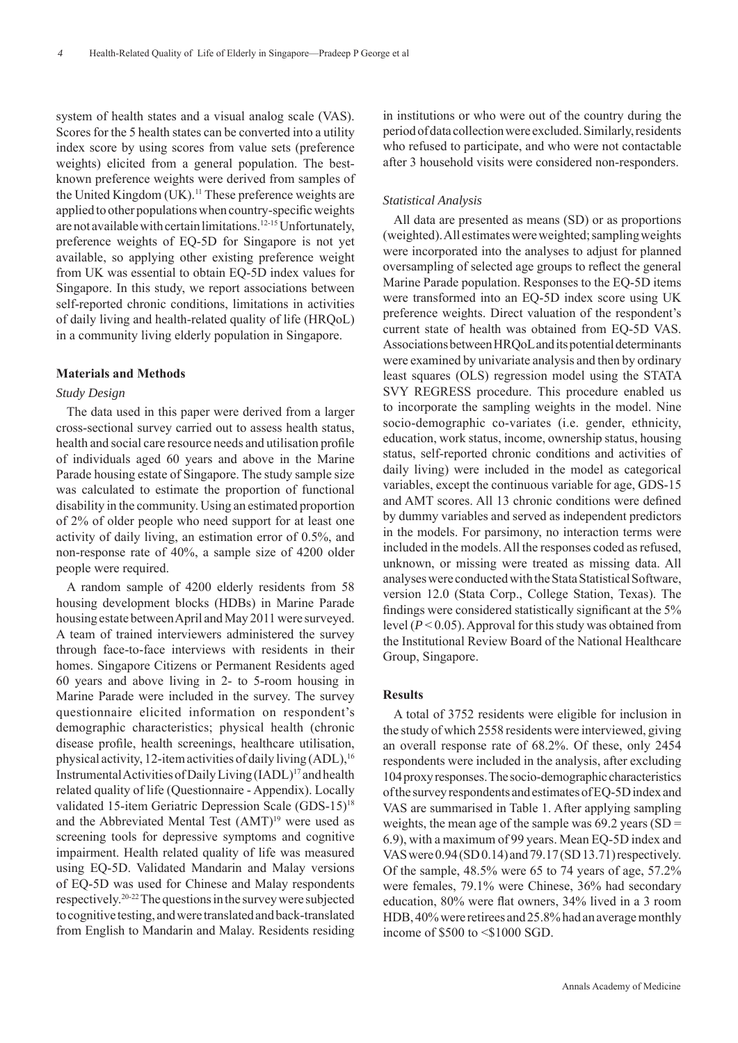system of health states and a visual analog scale (VAS). Scores for the 5 health states can be converted into a utility index score by using scores from value sets (preference weights) elicited from a general population. The bestknown preference weights were derived from samples of the United Kingdom  $(UK)$ .<sup>11</sup> These preference weights are applied to other populations when country-specific weights are not available with certain limitations.<sup>12-15</sup> Unfortunately, preference weights of EQ-5D for Singapore is not yet available, so applying other existing preference weight from UK was essential to obtain EQ-5D index values for Singapore. In this study, we report associations between self-reported chronic conditions, limitations in activities of daily living and health-related quality of life (HRQoL) in a community living elderly population in Singapore.

### **Materials and Methods**

## *Study Design*

The data used in this paper were derived from a larger cross-sectional survey carried out to assess health status, health and social care resource needs and utilisation profile of individuals aged 60 years and above in the Marine Parade housing estate of Singapore. The study sample size was calculated to estimate the proportion of functional disability in the community. Using an estimated proportion of 2% of older people who need support for at least one activity of daily living, an estimation error of 0.5%, and non-response rate of 40%, a sample size of 4200 older people were required.

A random sample of 4200 elderly residents from 58 housing development blocks (HDBs) in Marine Parade housing estate between April and May 2011 were surveyed. A team of trained interviewers administered the survey through face-to-face interviews with residents in their homes. Singapore Citizens or Permanent Residents aged 60 years and above living in 2- to 5-room housing in Marine Parade were included in the survey. The survey questionnaire elicited information on respondent's demographic characteristics; physical health (chronic disease profile, health screenings, healthcare utilisation, physical activity, 12-item activities of daily living  $(ADL)$ , <sup>16</sup> Instrumental Activities of Daily Living (IADL)17 and health related quality of life (Questionnaire - Appendix). Locally validated 15-item Geriatric Depression Scale (GDS-15)18 and the Abbreviated Mental Test (AMT)<sup>19</sup> were used as screening tools for depressive symptoms and cognitive impairment. Health related quality of life was measured using EQ-5D. Validated Mandarin and Malay versions of EQ-5D was used for Chinese and Malay respondents respectively.20-22 The questions in the survey were subjected to cognitive testing, and were translated and back-translated from English to Mandarin and Malay. Residents residing

in institutions or who were out of the country during the period of data collection were excluded. Similarly, residents who refused to participate, and who were not contactable after 3 household visits were considered non-responders.

### *Statistical Analysis*

All data are presented as means (SD) or as proportions (weighted). All estimates were weighted; sampling weights were incorporated into the analyses to adjust for planned oversampling of selected age groups to reflect the general Marine Parade population. Responses to the EQ-5D items were transformed into an EQ-5D index score using UK preference weights. Direct valuation of the respondent's current state of health was obtained from EQ-5D VAS. Associations between HRQoL and its potential determinants were examined by univariate analysis and then by ordinary least squares (OLS) regression model using the STATA SVY REGRESS procedure. This procedure enabled us to incorporate the sampling weights in the model. Nine socio-demographic co-variates (i.e. gender, ethnicity, education, work status, income, ownership status, housing status, self-reported chronic conditions and activities of daily living) were included in the model as categorical variables, except the continuous variable for age, GDS-15 and AMT scores. All 13 chronic conditions were defined by dummy variables and served as independent predictors in the models. For parsimony, no interaction terms were included in the models. All the responses coded as refused, unknown, or missing were treated as missing data. All analyses were conducted with the Stata Statistical Software, version 12.0 (Stata Corp., College Station, Texas). The findings were considered statistically significant at the 5% level (*P* < 0.05). Approval for this study was obtained from the Institutional Review Board of the National Healthcare Group, Singapore.

### **Results**

A total of 3752 residents were eligible for inclusion in the study of which 2558 residents were interviewed, giving an overall response rate of 68.2%. Of these, only 2454 respondents were included in the analysis, after excluding 104 proxy responses. The socio-demographic characteristics of the survey respondents and estimates of EQ-5D index and VAS are summarised in Table 1. After applying sampling weights, the mean age of the sample was  $69.2$  years (SD = 6.9), with a maximum of 99 years. Mean EQ-5D index and VAS were 0.94 (SD 0.14) and 79.17 (SD 13.71) respectively. Of the sample, 48.5% were 65 to 74 years of age, 57.2% were females, 79.1% were Chinese, 36% had secondary education, 80% were flat owners, 34% lived in a 3 room HDB, 40% were retirees and 25.8% had an average monthly income of \$500 to <\$1000 SGD.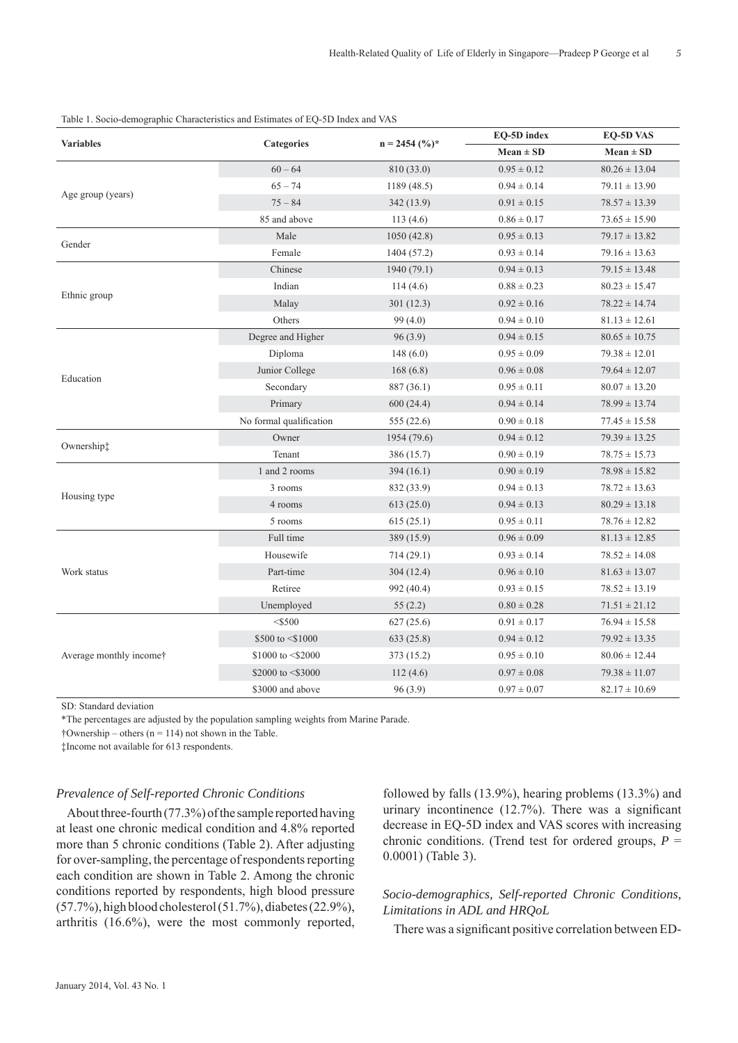| <b>Variables</b>        | Categories              |                 | EQ-5D index     | <b>EQ-5D VAS</b>  |
|-------------------------|-------------------------|-----------------|-----------------|-------------------|
|                         |                         | $n = 2454$ (%)* | $Mean \pm SD$   | $Mean \pm SD$     |
| Age group (years)       | $60 - 64$               | 810 (33.0)      | $0.95 \pm 0.12$ | $80.26 \pm 13.04$ |
|                         | $65 - 74$               | 1189(48.5)      | $0.94 \pm 0.14$ | $79.11 \pm 13.90$ |
|                         | $75 - 84$               | 342(13.9)       | $0.91 \pm 0.15$ | $78.57 \pm 13.39$ |
|                         | 85 and above            | 113(4.6)        | $0.86 \pm 0.17$ | $73.65 \pm 15.90$ |
| Gender                  | Male                    | 1050(42.8)      | $0.95\pm0.13$   | $79.17 \pm 13.82$ |
|                         | Female                  | 1404 (57.2)     | $0.93 \pm 0.14$ | $79.16 \pm 13.63$ |
|                         | Chinese                 | 1940 (79.1)     | $0.94 \pm 0.13$ | $79.15 \pm 13.48$ |
|                         | Indian                  | 114(4.6)        | $0.88 \pm 0.23$ | $80.23 \pm 15.47$ |
| Ethnic group            | Malay                   | 301(12.3)       | $0.92 \pm 0.16$ | $78.22 \pm 14.74$ |
|                         | Others                  | 99(4.0)         | $0.94 \pm 0.10$ | $81.13 \pm 12.61$ |
|                         | Degree and Higher       | 96(3.9)         | $0.94 \pm 0.15$ | $80.65 \pm 10.75$ |
|                         | Diploma                 | 148(6.0)        | $0.95 \pm 0.09$ | $79.38 \pm 12.01$ |
| Education               | Junior College          | 168(6.8)        | $0.96 \pm 0.08$ | $79.64 \pm 12.07$ |
|                         | Secondary               | 887 (36.1)      | $0.95 \pm 0.11$ | $80.07 \pm 13.20$ |
|                         | Primary                 | 600(24.4)       | $0.94 \pm 0.14$ | $78.99 \pm 13.74$ |
|                         | No formal qualification | 555(22.6)       | $0.90 \pm 0.18$ | $77.45 \pm 15.58$ |
|                         | Owner                   | 1954 (79.6)     | $0.94 \pm 0.12$ | $79.39 \pm 13.25$ |
| Ownership:              | Tenant                  | 386 (15.7)      | $0.90 \pm 0.19$ | $78.75 \pm 15.73$ |
|                         | 1 and 2 rooms           | 394(16.1)       | $0.90 \pm 0.19$ | $78.98 \pm 15.82$ |
|                         | 3 rooms                 | 832 (33.9)      | $0.94 \pm 0.13$ | $78.72 \pm 13.63$ |
| Housing type            | 4 rooms                 | 613(25.0)       | $0.94 \pm 0.13$ | $80.29 \pm 13.18$ |
|                         | 5 rooms                 | 615(25.1)       | $0.95 \pm 0.11$ | $78.76 \pm 12.82$ |
| Work status             | Full time               | 389 (15.9)      | $0.96 \pm 0.09$ | $81.13 \pm 12.85$ |
|                         | Housewife               | 714(29.1)       | $0.93 \pm 0.14$ | $78.52 \pm 14.08$ |
|                         | Part-time               | 304(12.4)       | $0.96 \pm 0.10$ | $81.63 \pm 13.07$ |
|                         | Retiree                 | 992 (40.4)      | $0.93 \pm 0.15$ | $78.52 \pm 13.19$ |
|                         | Unemployed              | 55(2.2)         | $0.80 \pm 0.28$ | $71.51 \pm 21.12$ |
|                         | $<$ \$500               | 627(25.6)       | $0.91 \pm 0.17$ | $76.94 \pm 15.58$ |
| Average monthly income† | \$500 to <\$1000        | 633(25.8)       | $0.94 \pm 0.12$ | $79.92 \pm 13.35$ |
|                         | \$1000 to <\$2000       | 373 (15.2)      | $0.95 \pm 0.10$ | $80.06 \pm 12.44$ |
|                         | \$2000 to <\$3000       | 112(4.6)        | $0.97 \pm 0.08$ | $79.38 \pm 11.07$ |
|                         | \$3000 and above        | 96 (3.9)        | $0.97 \pm 0.07$ | $82.17 \pm 10.69$ |

Table 1. Socio-demographic Characteristics and Estimates of EQ-5D Index and VAS

SD: Standard deviation

\*The percentages are adjusted by the population sampling weights from Marine Parade.

 $\dagger$ Ownership – others (n = 114) not shown in the Table.

‡Income not available for 613 respondents.

### *Prevalence of Self-reported Chronic Conditions*

About three-fourth (77.3%) of the sample reported having at least one chronic medical condition and 4.8% reported more than 5 chronic conditions (Table 2). After adjusting for over-sampling, the percentage of respondents reporting each condition are shown in Table 2. Among the chronic conditions reported by respondents, high blood pressure (57.7%), high blood cholesterol (51.7%), diabetes (22.9%), arthritis (16.6%), were the most commonly reported,

followed by falls (13.9%), hearing problems (13.3%) and urinary incontinence  $(12.7%)$ . There was a significant decrease in EQ-5D index and VAS scores with increasing chronic conditions. (Trend test for ordered groups,  $P =$ 0.0001) (Table 3).

# *Socio-demographics, Self-reported Chronic Conditions, Limitations in ADL and HRQoL*

There was a significant positive correlation between ED-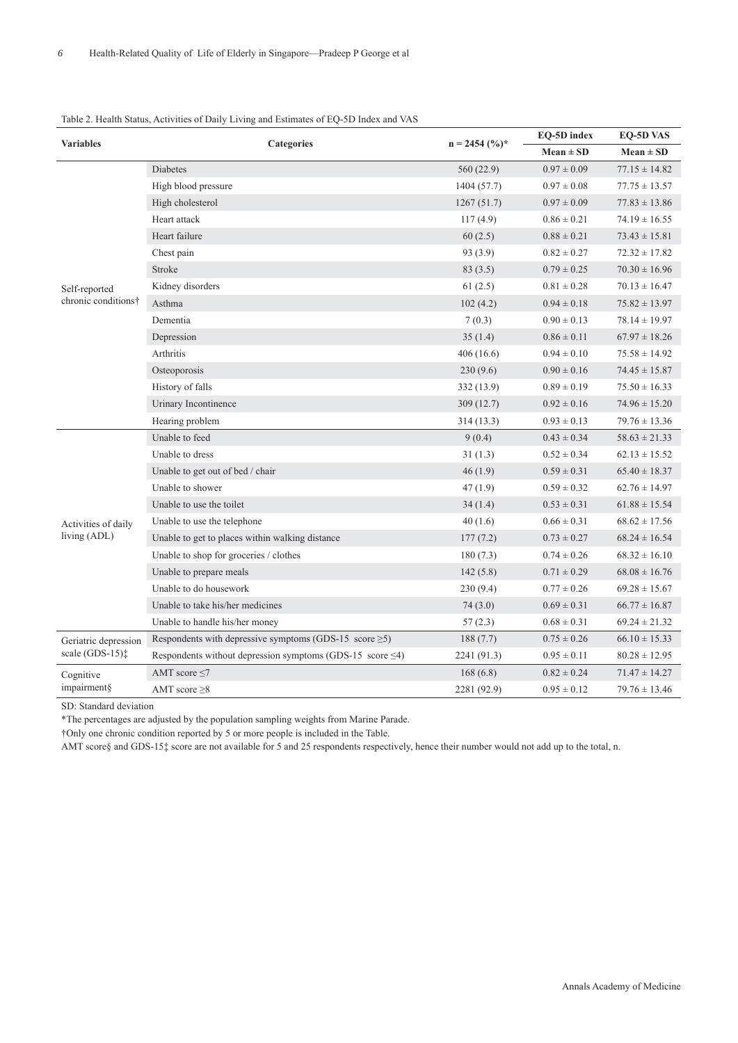# **Variables Categories n = 2454 (%)\* EQ-5D index EQ-5D VAS Mean ± SD Mean ± SD** Self-reported chronic conditions† Diabetes  $560 (22.9)$   $0.97 \pm 0.09$   $77.15 \pm 14.82$ High blood pressure 1404 (57.7)  $0.97 \pm 0.08$  77.75  $\pm 13.57$ High cholesterol 1267 (51.7)  $0.97 \pm 0.09$  77.83  $\pm 13.86$ Heart attack  $117 (4.9)$   $0.86 \pm 0.21$   $74.19 \pm 16.55$ Heart failure 60 (2.5) 0.88 ± 0.21 73.43 ± 15.81 Chest pain  $93 (3.9)$   $0.82 \pm 0.27$   $72.32 \pm 17.82$ Stroke 83 (3.5) 0.79  $\pm$  0.25 70.30  $\pm$  16.96 Kidney disorders 61 (2.5)  $0.81 \pm 0.28$  70.13  $\pm 16.47$ Asthma 102 (4.2) 0.94 ± 0.18 75.82 ± 13.97 Dementia  $7(0.3)$   $0.90 \pm 0.13$   $78.14 \pm 19.97$ Depression  $35 (1.4)$   $0.86 \pm 0.11$   $67.97 \pm 18.26$ Arthritis 406 (16.6) 0.94 ± 0.10 75.58 ± 14.92 Osteoporosis 230 (9.6) 0.90  $\pm$  0.16 74.45  $\pm$  15.87 History of falls 332 (13.9) 0.89 ± 0.19 75.50 ± 16.33 Urinary Incontinence 309 (12.7) 0.92  $\pm$  0.16 74.96  $\pm$  15.20 Hearing problem 314 (13.3) 0.93 ± 0.13 79.76 ± 13.36 Activities of daily Unable to feed  $9(0.4)$   $0.43 \pm 0.34$   $58.63 \pm 21.33$ Unable to dress  $31 (1.3)$   $0.52 \pm 0.34$   $62.13 \pm 15.52$ Unable to get out of bed / chair  $46 (1.9)$  0.59 ± 0.31 65.40 ± 18.37 Unable to shower  $47 (1.9)$   $0.59 \pm 0.32$   $62.76 \pm 14.97$ Unable to use the toilet 34 (1.4) 0.53  $\pm$  0.31 61.88  $\pm$  15.54 Unable to use the telephone  $40 (1.6)$   $0.66 \pm 0.31$   $68.62 \pm 17.56$

### Table 2. Health Status, Activities of Daily Living and Estimates of EQ-5D Index and VAS

SD: Standard deviation

Geriatric depression scale (GDS-15)‡

Cognitive impairment§

living (ADL)

\*The percentages are adjusted by the population sampling weights from Marine Parade.

†Only one chronic condition reported by 5 or more people is included in the Table.

AMT score§ and GDS-15‡ score are not available for 5 and 25 respondents respectively, hence their number would not add up to the total, n.

Unable to get to places within walking distance 177 (7.2) 0.73  $\pm$  0.27 68.24  $\pm$  16.54 Unable to shop for groceries / clothes 180 (7.3)  $0.74 \pm 0.26$   $68.32 \pm 16.10$ Unable to prepare meals 142 (5.8) 0.71  $\pm$  0.29 68.08  $\pm$  16.76 Unable to do housework 230 (9.4) 0.77 ± 0.26 69.28 ± 15.67 Unable to take his/her medicines 74 (3.0) 0.69 ± 0.31 66.77 ± 16.87 Unable to handle his/her money  $57 (2.3)$   $0.68 \pm 0.31$   $69.24 \pm 21.32$ 

Respondents with depressive symptoms (GDS-15 score  $\geq$ 5) 188 (7.7) 0.75 ± 0.26 66.10 ± 15.33 Respondents without depression symptoms (GDS-15 score  $\leq 4$ ) 2241 (91.3) 0.95  $\pm$  0.11 80.28  $\pm$  12.95

AMT score  $\leq$ 7 1.47 ± 14.27 AMT score  $\geq 8$  2281 (92.9) 0.95  $\pm$  0.12 79.76  $\pm$  13.46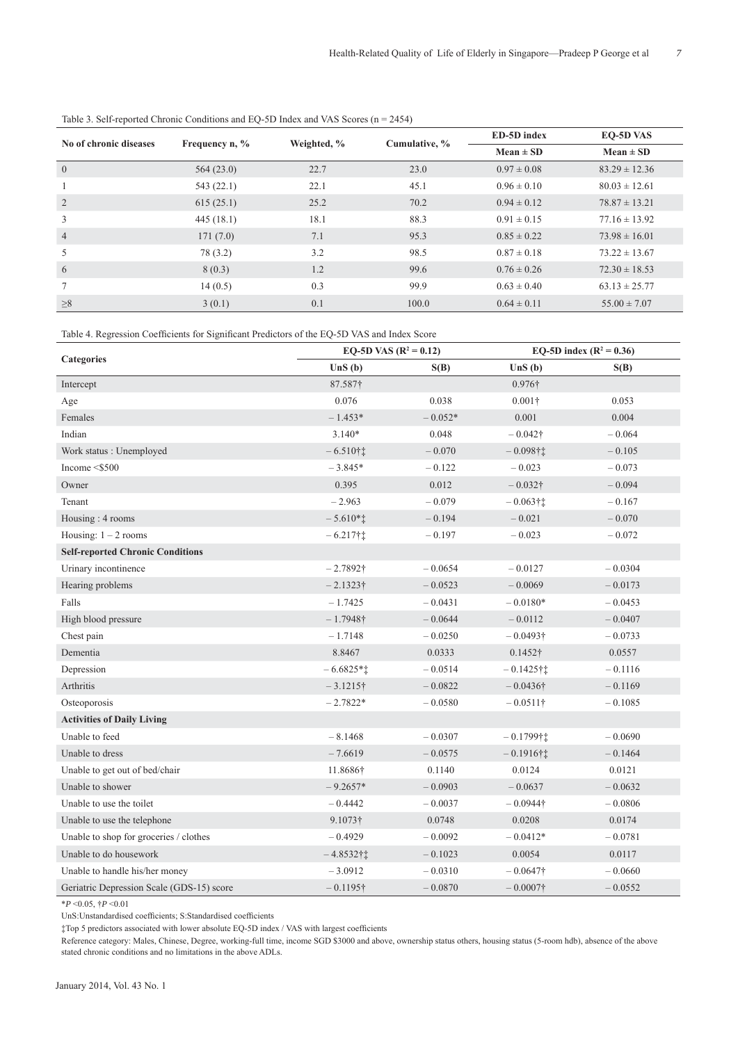| No of chronic diseases | Frequency $n, \%$ | Weighted, % | Cumulative, % | ED-5D index     | EQ-5D VAS         |
|------------------------|-------------------|-------------|---------------|-----------------|-------------------|
|                        |                   |             |               | $Mean \pm SD$   | $Mean \pm SD$     |
| $\mathbf{0}$           | 564(23.0)         | 22.7        | 23.0          | $0.97 \pm 0.08$ | $83.29 \pm 12.36$ |
|                        | 543(22.1)         | 22.1        | 45.1          | $0.96 \pm 0.10$ | $80.03 \pm 12.61$ |
| 2                      | 615(25.1)         | 25.2        | 70.2          | $0.94 \pm 0.12$ | $78.87 \pm 13.21$ |
| 3                      | 445(18.1)         | 18.1        | 88.3          | $0.91 \pm 0.15$ | $77.16 \pm 13.92$ |
| $\overline{4}$         | 171(7.0)          | 7.1         | 95.3          | $0.85 \pm 0.22$ | $73.98 \pm 16.01$ |
| 5                      | 78 (3.2)          | 3.2         | 98.5          | $0.87 \pm 0.18$ | $73.22 \pm 13.67$ |
| 6                      | 8(0.3)            | 1.2         | 99.6          | $0.76 \pm 0.26$ | $72.30 \pm 18.53$ |
| $7\overline{ }$        | 14(0.5)           | 0.3         | 99.9          | $0.63 \pm 0.40$ | $63.13 \pm 25.77$ |
| $\geq 8$               | 3(0.1)            | 0.1         | 100.0         | $0.64 \pm 0.11$ | $55.00 \pm 7.07$  |

Table 3. Self-reported Chronic Conditions and EQ-5D Index and VAS Scores (n = 2454)

Table 4. Regression Coefficients for Significant Predictors of the EQ-5D VAS and Index Score

|                                           | EQ-5D VAS $(R^2 = 0.12)$ |           | EQ-5D index ( $R^2 = 0.36$ ) |           |
|-------------------------------------------|--------------------------|-----------|------------------------------|-----------|
| <b>Categories</b>                         | UnS(b)                   | S(B)      | UnS(b)                       | S(B)      |
| Intercept                                 | 87.587†                  |           | 0.976†                       |           |
| Age                                       | 0.076                    | 0.038     | $0.001\dagger$               | 0.053     |
| Females                                   | $-1.453*$                | $-0.052*$ | 0.001                        | 0.004     |
| Indian                                    | $3.140*$                 | 0.048     | $-0.042\dagger$              | $-0.064$  |
| Work status: Unemployed                   | $-6.510$ † $\ddagger$    | $-0.070$  | $-0.098$ †1                  | $-0.105$  |
| Income $<$ \$500                          | $-3.845*$                | $-0.122$  | $-0.023$                     | $-0.073$  |
| Owner                                     | 0.395                    | 0.012     | $-0.032\dagger$              | $-0.094$  |
| Tenant                                    | $-2.963$                 | $-0.079$  | $-0.063$ † $\ddagger$        | $-0.167$  |
| Housing: 4 rooms                          | $-5.610*$                | $-0.194$  | $-0.021$                     | $-0.070$  |
| Housing: $1 - 2$ rooms                    | $-6.217$ † $\ddagger$    | $-0.197$  | $-0.023$                     | $-0.072$  |
| <b>Self-reported Chronic Conditions</b>   |                          |           |                              |           |
| Urinary incontinence                      | $-2.7892\dagger$         | $-0.0654$ | $-0.0127$                    | $-0.0304$ |
| Hearing problems                          | $-2.1323\dagger$         | $-0.0523$ | $-0.0069$                    | $-0.0173$ |
| Falls                                     | $-1.7425$                | $-0.0431$ | $-0.0180*$                   | $-0.0453$ |
| High blood pressure                       | $-1.7948\dagger$         | $-0.0644$ | $-0.0112$                    | $-0.0407$ |
| Chest pain                                | $-1.7148$                | $-0.0250$ | $-0.0493\dagger$             | $-0.0733$ |
| Dementia                                  | 8.8467                   | 0.0333    | $0.1452\dagger$              | 0.0557    |
| Depression                                | $-6.6825*$               | $-0.0514$ | $-0.1425$ † $\ddagger$       | $-0.1116$ |
| Arthritis                                 | $-3.1215\dagger$         | $-0.0822$ | $-0.0436\dagger$             | $-0.1169$ |
| Osteoporosis                              | $-2.7822*$               | $-0.0580$ | $-0.0511\dagger$             | $-0.1085$ |
| <b>Activities of Daily Living</b>         |                          |           |                              |           |
| Unable to feed                            | $-8.1468$                | $-0.0307$ | $-0.1799$ † $\ddagger$       | $-0.0690$ |
| Unable to dress                           | $-7.6619$                | $-0.0575$ | $-0.1916$ †İ                 | $-0.1464$ |
| Unable to get out of bed/chair            | 11.8686†                 | 0.1140    | 0.0124                       | 0.0121    |
| Unable to shower                          | $-9.2657*$               | $-0.0903$ | $-0.0637$                    | $-0.0632$ |
| Unable to use the toilet                  | $-0.4442$                | $-0.0037$ | $-0.0944\dagger$             | $-0.0806$ |
| Unable to use the telephone               | $9.1073\dagger$          | 0.0748    | 0.0208                       | 0.0174    |
| Unable to shop for groceries / clothes    | $-0.4929$                | $-0.0092$ | $-0.0412*$                   | $-0.0781$ |
| Unable to do housework                    | $-4.8532$ † $\ddagger$   | $-0.1023$ | 0.0054                       | 0.0117    |
| Unable to handle his/her money            | $-3.0912$                | $-0.0310$ | $-0.0647\dagger$             | $-0.0660$ |
| Geriatric Depression Scale (GDS-15) score | $-0.1195\dagger$         | $-0.0870$ | $-0.0007\dagger$             | $-0.0552$ |

 $*P < 0.05$ ,  $\frac{1}{7}P < 0.01$ 

UnS:Unstandardised coefficients; S:Standardised coefficients

‡Top 5 predictors associated with lower absolute EQ-5D index / VAS with largest coefficients

Reference category: Males, Chinese, Degree, working-full time, income SGD \$3000 and above, ownership status others, housing status (5-room hdb), absence of the above stated chronic conditions and no limitations in the above ADLs.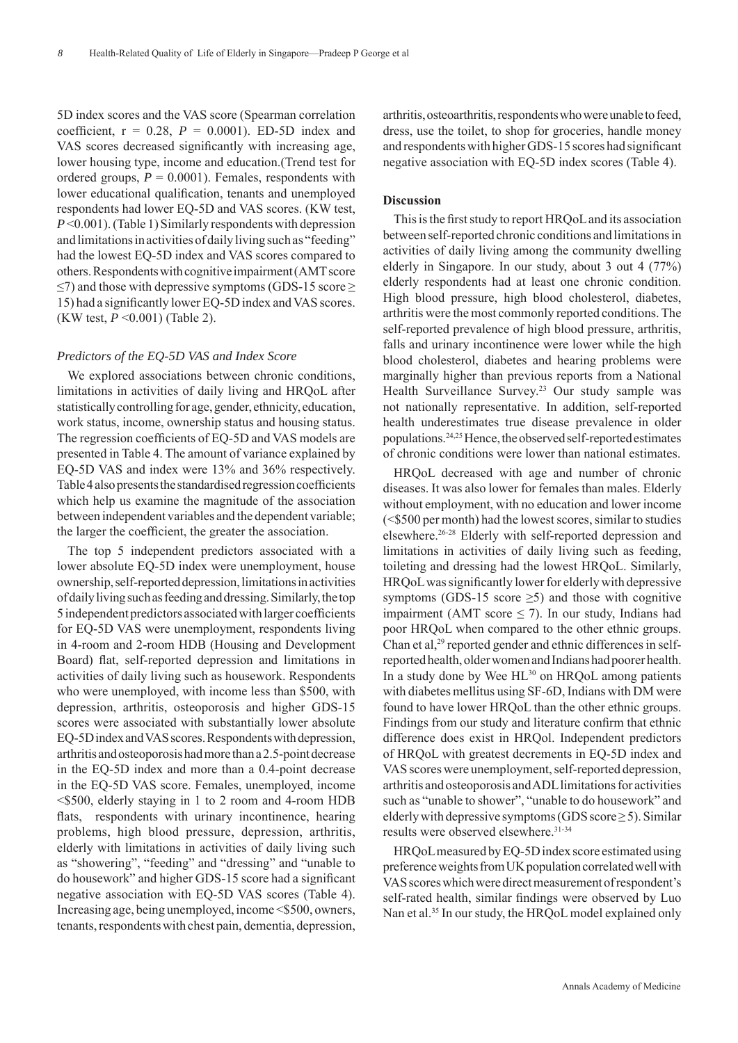5D index scores and the VAS score (Spearman correlation coefficient,  $r = 0.28$ ,  $P = 0.0001$ ). ED-5D index and VAS scores decreased significantly with increasing age, lower housing type, income and education.(Trend test for ordered groups,  $P = 0.0001$ ). Females, respondents with lower educational qualification, tenants and unemployed respondents had lower EQ-5D and VAS scores. (KW test, *P* <0.001). (Table 1) Similarly respondents with depression and limitations in activities of daily living such as "feeding" had the lowest EQ-5D index and VAS scores compared to others. Respondents with cognitive impairment (AMT score  $\leq$ 7) and those with depressive symptoms (GDS-15 score  $\geq$ 15) had a significantly lower EQ-5D index and VAS scores. (KW test, *P* <0.001) (Table 2).

### *Predictors of the EQ-5D VAS and Index Score*

We explored associations between chronic conditions, limitations in activities of daily living and HRQoL after statistically controlling for age, gender, ethnicity, education, work status, income, ownership status and housing status. The regression coefficients of EQ-5D and VAS models are presented in Table 4. The amount of variance explained by EQ-5D VAS and index were 13% and 36% respectively. Table 4 also presents the standardised regression coefficients which help us examine the magnitude of the association between independent variables and the dependent variable; the larger the coefficient, the greater the association.

The top 5 independent predictors associated with a lower absolute EQ-5D index were unemployment, house ownership, self-reported depression, limitations in activities of daily living such as feeding and dressing. Similarly, the top 5 independent predictors associated with larger coefficients for EQ-5D VAS were unemployment, respondents living in 4-room and 2-room HDB (Housing and Development Board) flat, self-reported depression and limitations in activities of daily living such as housework. Respondents who were unemployed, with income less than \$500, with depression, arthritis, osteoporosis and higher GDS-15 scores were associated with substantially lower absolute EQ-5D index and VAS scores. Respondents with depression, arthritis and osteoporosis had more than a 2.5-point decrease in the EQ-5D index and more than a 0.4-point decrease in the EQ-5D VAS score. Females, unemployed, income <\$500, elderly staying in 1 to 2 room and 4-room HDB flats, respondents with urinary incontinence, hearing problems, high blood pressure, depression, arthritis, elderly with limitations in activities of daily living such as "showering", "feeding" and "dressing" and "unable to do housework" and higher GDS-15 score had a significant negative association with EQ-5D VAS scores (Table 4). Increasing age, being unemployed, income <\$500, owners, tenants, respondents with chest pain, dementia, depression,

arthritis, osteoarthritis, respondents who were unable to feed, dress, use the toilet, to shop for groceries, handle money and respondents with higher GDS-15 scores had significant negative association with EQ-5D index scores (Table 4).

### **Discussion**

This is the first study to report HRQoL and its association between self-reported chronic conditions and limitations in activities of daily living among the community dwelling elderly in Singapore. In our study, about 3 out 4 (77%) elderly respondents had at least one chronic condition. High blood pressure, high blood cholesterol, diabetes, arthritis were the most commonly reported conditions. The self-reported prevalence of high blood pressure, arthritis, falls and urinary incontinence were lower while the high blood cholesterol, diabetes and hearing problems were marginally higher than previous reports from a National Health Surveillance Survey.<sup>23</sup> Our study sample was not nationally representative. In addition, self-reported health underestimates true disease prevalence in older populations.24,25 Hence, the observed self-reported estimates of chronic conditions were lower than national estimates.

HRQoL decreased with age and number of chronic diseases. It was also lower for females than males. Elderly without employment, with no education and lower income (<\$500 per month) had the lowest scores, similar to studies elsewhere.26-28 Elderly with self-reported depression and limitations in activities of daily living such as feeding, toileting and dressing had the lowest HRQoL. Similarly, HRQoL was significantly lower for elderly with depressive symptoms (GDS-15 score  $\geq$ 5) and those with cognitive impairment (AMT score  $\leq$  7). In our study, Indians had poor HRQoL when compared to the other ethnic groups. Chan et al,<sup>29</sup> reported gender and ethnic differences in selfreported health, older women and Indians had poorer health. In a study done by Wee  $HL^{30}$  on HRQoL among patients with diabetes mellitus using SF-6D, Indians with DM were found to have lower HRQoL than the other ethnic groups. Findings from our study and literature confirm that ethnic difference does exist in HRQol. Independent predictors of HRQoL with greatest decrements in EQ-5D index and VAS scores were unemployment, self-reported depression, arthritis and osteoporosis and ADL limitations for activities such as "unable to shower", "unable to do housework" and elderly with depressive symptoms (GDS score  $\geq$  5). Similar results were observed elsewhere.<sup>31-34</sup>

HRQoL measured by EQ-5D index score estimated using preference weights from UK population correlated well with VAS scores which were direct measurement of respondent's self-rated health, similar findings were observed by Luo Nan et al.<sup>35</sup> In our study, the HRQoL model explained only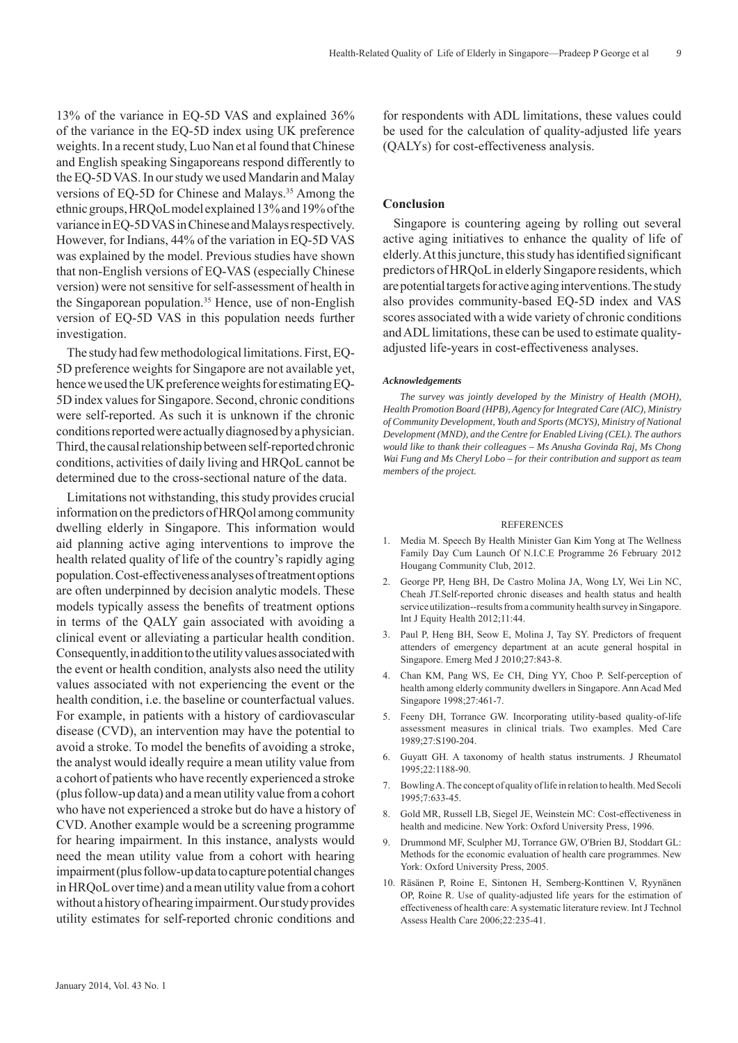13% of the variance in EQ-5D VAS and explained 36% of the variance in the EQ-5D index using UK preference weights. In a recent study, Luo Nan et al found that Chinese and English speaking Singaporeans respond differently to the EQ-5D VAS. In our study we used Mandarin and Malay versions of EQ-5D for Chinese and Malays.<sup>35</sup> Among the ethnic groups, HRQoL model explained 13% and 19% of the variance in EQ-5D VAS in Chinese and Malays respectively. However, for Indians, 44% of the variation in EQ-5D VAS was explained by the model. Previous studies have shown that non-English versions of EQ-VAS (especially Chinese version) were not sensitive for self-assessment of health in the Singaporean population.<sup>35</sup> Hence, use of non-English version of EQ-5D VAS in this population needs further investigation.

The study had few methodological limitations. First, EQ-5D preference weights for Singapore are not available yet, hence we used the UK preference weights for estimating EQ-5D index values for Singapore. Second, chronic conditions were self-reported. As such it is unknown if the chronic conditions reported were actually diagnosed by a physician. Third, the causal relationship between self-reported chronic conditions, activities of daily living and HRQoL cannot be determined due to the cross-sectional nature of the data.

Limitations not withstanding, this study provides crucial information on the predictors of HRQol among community dwelling elderly in Singapore. This information would aid planning active aging interventions to improve the health related quality of life of the country's rapidly aging population. Cost-effectiveness analyses of treatment options are often underpinned by decision analytic models. These models typically assess the benefits of treatment options in terms of the QALY gain associated with avoiding a clinical event or alleviating a particular health condition. Consequently, in addition to the utility values associated with the event or health condition, analysts also need the utility values associated with not experiencing the event or the health condition, i.e. the baseline or counterfactual values. For example, in patients with a history of cardiovascular disease (CVD), an intervention may have the potential to avoid a stroke. To model the benefits of avoiding a stroke, the analyst would ideally require a mean utility value from a cohort of patients who have recently experienced a stroke (plus follow-up data) and a mean utility value from a cohort who have not experienced a stroke but do have a history of CVD. Another example would be a screening programme for hearing impairment. In this instance, analysts would need the mean utility value from a cohort with hearing impairment (plus follow-up data to capture potential changes in HRQoL over time) and a mean utility value from a cohort without a history of hearing impairment. Our study provides utility estimates for self-reported chronic conditions and

for respondents with ADL limitations, these values could be used for the calculation of quality-adjusted life years (QALYs) for cost-effectiveness analysis.

### **Conclusion**

Singapore is countering ageing by rolling out several active aging initiatives to enhance the quality of life of elderly. At this juncture, this study has identified significant predictors of HRQoL in elderly Singapore residents, which are potential targets for active aging interventions. The study also provides community-based EQ-5D index and VAS scores associated with a wide variety of chronic conditions and ADL limitations, these can be used to estimate qualityadjusted life-years in cost-effectiveness analyses.

#### *Acknowledgements*

*The survey was jointly developed by the Ministry of Health (MOH), Health Promotion Board (HPB), Agency for Integrated Care (AIC), Ministry of Community Development, Youth and Sports (MCYS), Ministry of National Development (MND), and the Centre for Enabled Living (CEL). The authors would like to thank their colleagues – Ms Anusha Govinda Raj, Ms Chong Wai Fung and Ms Cheryl Lobo – for their contribution and support as team members of the project.* 

#### REFERENCES

- 1. Media M. Speech By Health Minister Gan Kim Yong at The Wellness Family Day Cum Launch Of N.I.C.E Programme 26 February 2012 Hougang Community Club, 2012.
- 2. George PP, Heng BH, De Castro Molina JA, Wong LY, Wei Lin NC, Cheah JT.Self-reported chronic diseases and health status and health service utilization--results from a community health survey in Singapore. Int J Equity Health 2012;11:44.
- 3. Paul P, Heng BH, Seow E, Molina J, Tay SY. Predictors of frequent attenders of emergency department at an acute general hospital in Singapore. Emerg Med J 2010;27:843-8.
- 4. Chan KM, Pang WS, Ee CH, Ding YY, Choo P. Self-perception of health among elderly community dwellers in Singapore. Ann Acad Med Singapore 1998;27:461-7.
- 5. Feeny DH, Torrance GW. Incorporating utility-based quality-of-life assessment measures in clinical trials. Two examples. Med Care 1989;27:S190-204.
- 6. Guyatt GH. A taxonomy of health status instruments. J Rheumatol 1995;22:1188-90.
- 7. Bowling A. The concept of quality of life in relation to health. Med Secoli 1995;7:633-45.
- 8. Gold MR, Russell LB, Siegel JE, Weinstein MC: Cost-effectiveness in health and medicine. New York: Oxford University Press, 1996.
- 9. Drummond MF, Sculpher MJ, Torrance GW, O'Brien BJ, Stoddart GL: Methods for the economic evaluation of health care programmes. New York: Oxford University Press, 2005.
- 10. Räsänen P, Roine E, Sintonen H, Semberg-Konttinen V, Ryynänen OP, Roine R. Use of quality-adjusted life years for the estimation of effectiveness of health care: A systematic literature review. Int J Technol Assess Health Care 2006;22:235-41.